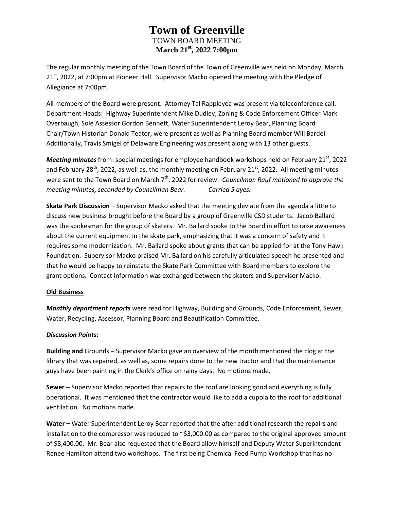The regular monthly meeting of the Town Board of the Town of Greenville was held on Monday, March 21<sup>st</sup>, 2022, at 7:00pm at Pioneer Hall. Supervisor Macko opened the meeting with the Pledge of Allegiance at 7:00pm.

All members of the Board were present. Attorney Tal Rappleyea was present via teleconference call. Department Heads: Highway Superintendent Mike Dudley, Zoning & Code Enforcement Officer Mark Overbaugh, Sole Assessor Gordon Bennett, Water Superintendent Leroy Bear, Planning Board Chair/Town Historian Donald Teator, were present as well as Planning Board member Will Bardel. Additionally, Travis Smigel of Delaware Engineering was present along with 13 other guests.

*Meeting minutes* from: special meetings for employee handbook workshops held on February 21<sup>st</sup>, 2022 and February 28<sup>th</sup>, 2022, as well as, the monthly meeting on February 21<sup>st</sup>, 2022. All meeting minutes were sent to the Town Board on March 7<sup>th</sup>, 2022 for review. *Councilman Rauf motioned to approve the meeting minutes, seconded by Councilman Bear. Carried 5 ayes.*

**Skate Park Discussion** – Supervisor Macko asked that the meeting deviate from the agenda a little to discuss new business brought before the Board by a group of Greenville CSD students. Jacob Ballard was the spokesman for the group of skaters. Mr. Ballard spoke to the Board in effort to raise awareness about the current equipment in the skate park, emphasizing that it was a concern of safety and it requires some modernization. Mr. Ballard spoke about grants that can be applied for at the Tony Hawk Foundation. Supervisor Macko praised Mr. Ballard on his carefully articulated speech he presented and that he would be happy to reinstate the Skate Park Committee with Board members to explore the grant options. Contact information was exchanged between the skaters and Supervisor Macko.

### **Old Business**

*Monthly department reports* were read for Highway, Building and Grounds, Code Enforcement, Sewer, Water, Recycling, Assessor, Planning Board and Beautification Committee.

### *Discussion Points:*

**Building and** Grounds – Supervisor Macko gave an overview of the month mentioned the clog at the library that was repaired, as well as, some repairs done to the new tractor and that the maintenance guys have been painting in the Clerk's office on rainy days. No motions made.

**Sewer** – Supervisor Macko reported that repairs to the roof are looking good and everything is fully operational. It was mentioned that the contractor would like to add a cupola to the roof for additional ventilation. No motions made.

**Water –** Water Superintendent Leroy Bear reported that the after additional research the repairs and installation to the compressor was reduced to ~\$3,000.00 as compared to the original approved amount of \$8,400.00. Mr. Bear also requested that the Board allow himself and Deputy Water Superintendent Renee Hamilton attend two workshops. The first being Chemical Feed Pump Workshop that has no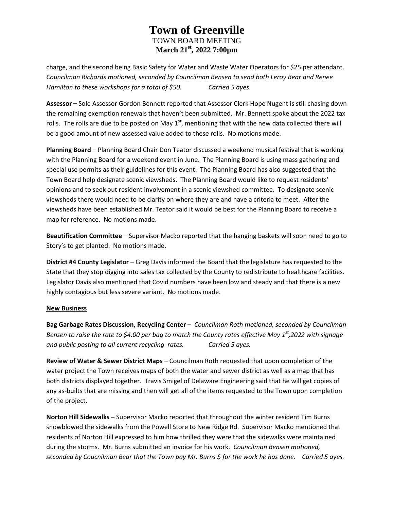charge, and the second being Basic Safety for Water and Waste Water Operators for \$25 per attendant. *Councilman Richards motioned, seconded by Councilman Bensen to send both Leroy Bear and Renee Hamilton to these workshops for a total of \$50. Carried 5 ayes*

**Assessor –** Sole Assessor Gordon Bennett reported that Assessor Clerk Hope Nugent is still chasing down the remaining exemption renewals that haven't been submitted. Mr. Bennett spoke about the 2022 tax rolls. The rolls are due to be posted on May  $1<sup>st</sup>$ , mentioning that with the new data collected there will be a good amount of new assessed value added to these rolls. No motions made.

**Planning Board** – Planning Board Chair Don Teator discussed a weekend musical festival that is working with the Planning Board for a weekend event in June. The Planning Board is using mass gathering and special use permits as their guidelines for this event. The Planning Board has also suggested that the Town Board help designate scenic viewsheds. The Planning Board would like to request residents' opinions and to seek out resident involvement in a scenic viewshed committee. To designate scenic viewsheds there would need to be clarity on where they are and have a criteria to meet. After the viewsheds have been established Mr. Teator said it would be best for the Planning Board to receive a map for reference. No motions made.

**Beautification Committee** – Supervisor Macko reported that the hanging baskets will soon need to go to Story's to get planted. No motions made.

**District #4 County Legislator** – Greg Davis informed the Board that the legislature has requested to the State that they stop digging into sales tax collected by the County to redistribute to healthcare facilities. Legislator Davis also mentioned that Covid numbers have been low and steady and that there is a new highly contagious but less severe variant. No motions made.

### **New Business**

**Bag Garbage Rates Discussion, Recycling Center** – *Councilman Roth motioned, seconded by Councilman Bensen to raise the rate to \$4.00 per bag to match the County rates effective May 1st,2022 with signage and public posting to all current recycling rates. Carried 5 ayes.*

**Review of Water & Sewer District Maps** – Councilman Roth requested that upon completion of the water project the Town receives maps of both the water and sewer district as well as a map that has both districts displayed together. Travis Smigel of Delaware Engineering said that he will get copies of any as-builts that are missing and then will get all of the items requested to the Town upon completion of the project.

**Norton Hill Sidewalks** – Supervisor Macko reported that throughout the winter resident Tim Burns snowblowed the sidewalks from the Powell Store to New Ridge Rd. Supervisor Macko mentioned that residents of Norton Hill expressed to him how thrilled they were that the sidewalks were maintained during the storms. Mr. Burns submitted an invoice for his work. *Councilman Bensen motioned, seconded by Coucnilman Bear that the Town pay Mr. Burns \$ for the work he has done. Carried 5 ayes.*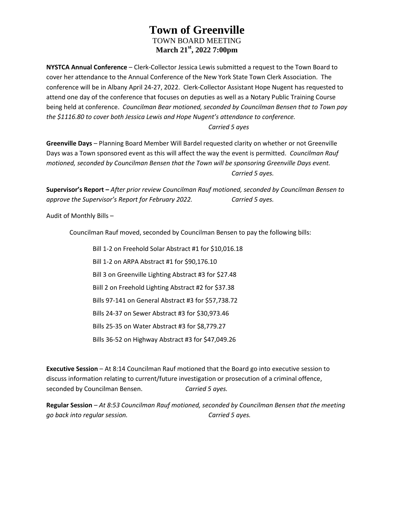**NYSTCA Annual Conference** – Clerk-Collector Jessica Lewis submitted a request to the Town Board to cover her attendance to the Annual Conference of the New York State Town Clerk Association. The conference will be in Albany April 24-27, 2022. Clerk-Collector Assistant Hope Nugent has requested to attend one day of the conference that focuses on deputies as well as a Notary Public Training Course being held at conference. *Councilman Bear motioned, seconded by Councilman Bensen that to Town pay the \$1116.80 to cover both Jessica Lewis and Hope Nugent's attendance to conference.* 

### *Carried 5 ayes*

**Greenville Days** – Planning Board Member Will Bardel requested clarity on whether or not Greenville Days was a Town sponsored event as this will affect the way the event is permitted. *Councilman Rauf motioned, seconded by Councilman Bensen that the Town will be sponsoring Greenville Days event. Carried 5 ayes.*

**Supervisor's Report –** *After prior review Councilman Rauf motioned, seconded by Councilman Bensen to approve the Supervisor's Report for February 2022. Carried 5 ayes.*

Audit of Monthly Bills –

Councilman Rauf moved, seconded by Councilman Bensen to pay the following bills:

Bill 1-2 on Freehold Solar Abstract #1 for \$10,016.18 Bill 1-2 on ARPA Abstract #1 for \$90,176.10 Bill 3 on Greenville Lighting Abstract #3 for \$27.48 Biill 2 on Freehold Lighting Abstract #2 for \$37.38 Bills 97-141 on General Abstract #3 for \$57,738.72 Bills 24-37 on Sewer Abstract #3 for \$30,973.46 Bills 25-35 on Water Abstract #3 for \$8,779.27 Bills 36-52 on Highway Abstract #3 for \$47,049.26

**Executive Session** – At 8:14 Councilman Rauf motioned that the Board go into executive session to discuss information relating to current/future investigation or prosecution of a criminal offence, seconded by Councilman Bensen. *Carried 5 ayes.*

**Regular Session** *– At 8:53 Councilman Rauf motioned, seconded by Councilman Bensen that the meeting go back into regular session. Carried 5 ayes.*